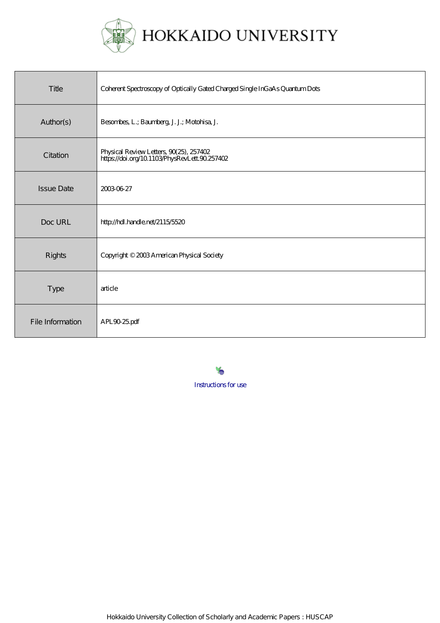

| Title             | Coherent Spectroscopy of Optically Gated Charged Single InGaAs Quantum Dots              |
|-------------------|------------------------------------------------------------------------------------------|
| Author(s)         | Besonbes, L.; Baumberg, J. J.; Motohisa, J.                                              |
| Citation          | Physical Review Letters, 90(25), 257402<br>https://doi.org/10.1103/PhysRevLett.90.257402 |
| <b>Issue Date</b> | 20030627                                                                                 |
| Doc URL           | http://hdl.handle.net/2115/5520                                                          |
| <b>Rights</b>     | Copyright © 2003 American Physical Society                                               |
| <b>Type</b>       | article                                                                                  |
| File Information  | APL9025pdf                                                                               |

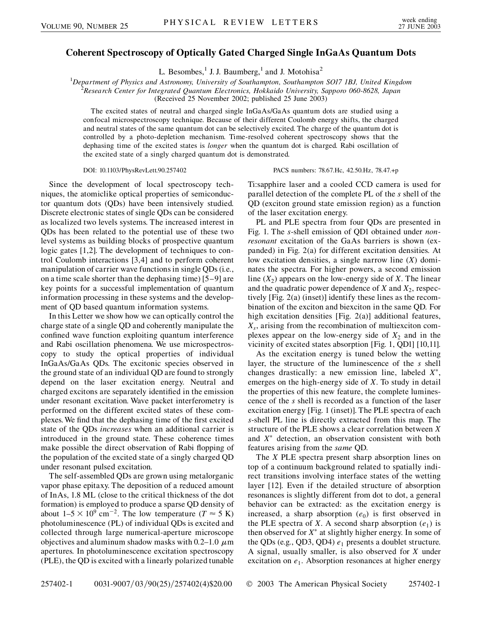## **Coherent Spectroscopy of Optically Gated Charged Single InGaAs Quantum Dots**

L. Besombes,<sup>1</sup> J. J. Baumberg,<sup>1</sup> and J. Motohisa<sup>2</sup>

<sup>1</sup>Department of Physics and Astronomy, University of Southampton, Southampton SO17 1BJ, United Kingdom<br><sup>2</sup>Pessagrab Center for Integrated Quantum Electronics, Hokkaido University, Sannoro 060,8628, Japan *Research Center for Integrated Quantum Electronics, Hokkaido University, Sapporo 060-8628, Japan*

(Received 25 November 2002; published 25 June 2003)

The excited states of neutral and charged single InGaAs/GaAs quantum dots are studied using a confocal microspectroscopy technique. Because of their different Coulomb energy shifts, the charged and neutral states of the same quantum dot can be selectively excited. The charge of the quantum dot is controlled by a photo-depletion mechanism. Time-resolved coherent spectroscopy shows that the dephasing time of the excited states is *longer* when the quantum dot is charged. Rabi oscillation of the excited state of a singly charged quantum dot is demonstrated.

## DOI: 10.1103/PhysRevLett.90.257402 PACS numbers: 78.67.Hc, 42.50.Hz, 78.47.+p

Since the development of local spectroscopy techniques, the atomiclike optical properties of semiconductor quantum dots (QDs) have been intensively studied. Discrete electronic states of single QDs can be considered as localized two levels systems. The increased interest in QDs has been related to the potential use of these two level systems as building blocks of prospective quantum logic gates [1,2]. The development of techniques to control Coulomb interactions [3,4] and to perform coherent manipulation of carrier wave functions in single QDs (i.e., on a time scale shorter than the dephasing time) [5–9] are key points for a successful implementation of quantum information processing in these systems and the development of QD based quantum information systems.

In this Letter we show how we can optically control the charge state of a single QD and coherently manipulate the confined wave function exploiting quantum interference and Rabi oscillation phenomena. We use microspectroscopy to study the optical properties of individual InGaAs/GaAs QDs. The excitonic species observed in the ground state of an individual QD are found to strongly depend on the laser excitation energy. Neutral and charged excitons are separately identified in the emission under resonant excitation. Wave packet interferometry is performed on the different excited states of these complexes. We find that the dephasing time of the first excited state of the QDs *increases* when an additional carrier is introduced in the ground state. These coherence times make possible the direct observation of Rabi flopping of the population of the excited state of a singly charged QD under resonant pulsed excitation.

The self-assembled QDs are grown using metalorganic vapor phase epitaxy. The deposition of a reduced amount of InAs, 1.8 ML (close to the critical thickness of the dot formation) is employed to produce a sparse QD density of about  $1-5 \times 10^9$  cm<sup>-2</sup>. The low temperature (*T*  $\approx$  5 K) photoluminescence (PL) of individual QDs is excited and collected through large numerical-aperture microscope objectives and aluminum shadow masks with  $0.2-1.0 \mu m$ apertures. In photoluminescence excitation spectroscopy (PLE), the QD is excited with a linearly polarized tunable Ti:sapphire laser and a cooled CCD camera is used for parallel detection of the complete PL of the *s* shell of the QD (exciton ground state emission region) as a function of the laser excitation energy.

PL and PLE spectra from four QDs are presented in Fig. 1. The *s*-shell emission of QD1 obtained under *nonresonant* excitation of the GaAs barriers is shown (expanded) in Fig. 2(a) for different excitation densities. At low excitation densities, a single narrow line (*X*) dominates the spectra. For higher powers, a second emission line  $(X_2)$  appears on the low-energy side of *X*. The linear and the quadratic power dependence of  $X$  and  $X_2$ , respectively [Fig. 2(a) (inset)] identify these lines as the recombination of the exciton and biexciton in the same QD. For high excitation densities [Fig. 2(a)] additional features,  $X_s$ , arising from the recombination of multiexciton complexes appear on the low-energy side of  $X_2$  and in the vicinity of excited states absorption [Fig. 1, QD1] [10,11].

As the excitation energy is tuned below the wetting layer, the structure of the luminescence of the *s* shell changes drastically: a new emission line, labeled  $X^*$ , emerges on the high-energy side of *X*. To study in detail the properties of this new feature, the complete luminescence of the *s* shell is recorded as a function of the laser excitation energy [Fig. 1 (inset)]. The PLE spectra of each *s*-shell PL line is directly extracted from this map. The structure of the PLE shows a clear correlation between *X* and  $X^*$  detection, an observation consistent with both features arising from the *same* QD.

The *X* PLE spectra present sharp absorption lines on top of a continuum background related to spatially indirect transitions involving interface states of the wetting layer [12]. Even if the detailed structure of absorption resonances is slightly different from dot to dot, a general behavior can be extracted: as the excitation energy is increased, a sharp absorption  $(e_0)$  is first observed in the PLE spectra of *X*. A second sharp absorption  $(e_1)$  is then observed for  $X^*$  at slightly higher energy. In some of the QDs (e.g., QD3, QD4)  $e_1$  presents a doublet structure. A signal, usually smaller, is also observed for *X* under excitation on  $e_1$ . Absorption resonances at higher energy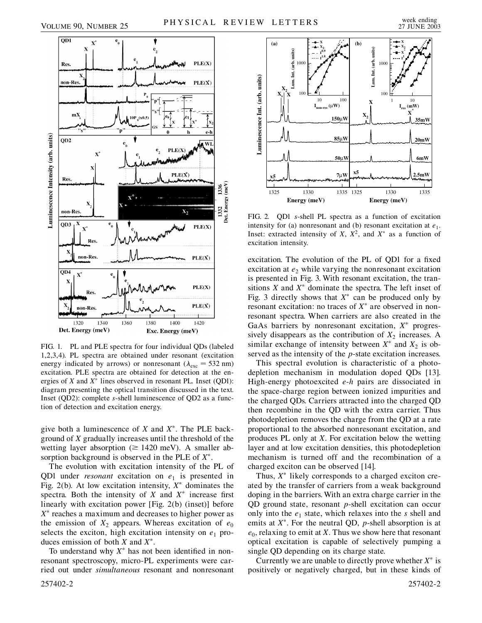



FIG. 1. PL and PLE spectra for four individual QDs (labeled 1,2,3,4). PL spectra are obtained under resonant (excitation energy indicated by arrows) or nonresonant ( $\lambda_{\text{exc}} = 532 \text{ nm}$ ) excitation. PLE spectra are obtained for detection at the energies of  $X$  and  $X^*$  lines observed in resonant PL. Inset (QD1): diagram presenting the optical transition discussed in the text. Inset (QD2): complete *s*-shell luminescence of QD2 as a function of detection and excitation energy.

give both a luminescence of *X* and *X*. The PLE background of *X* gradually increases until the threshold of the wetting layer absorption ( $\geq 1420$  meV). A smaller absorption background is observed in the PLE of *X*.

The evolution with excitation intensity of the PL of QD1 under *resonant* excitation on  $e_1$  is presented in Fig. 2(b). At low excitation intensity,  $X^*$  dominates the spectra. Both the intensity of  $X$  and  $X^*$  increase first linearly with excitation power [Fig. 2(b) (inset)] before  $X^*$  reaches a maximum and decreases to higher power as the emission of  $X_2$  appears. Whereas excitation of  $e_0$ selects the exciton, high excitation intensity on  $e_1$  produces emission of both *X* and *X*.

To understand why  $X^*$  has not been identified in nonresonant spectroscopy, micro-PL experiments were carried out under *simultaneous* resonant and nonresonant



FIG. 2. QD1 *s*-shell PL spectra as a function of excitation intensity for (a) nonresonant and (b) resonant excitation at  $e_1$ . Inset: extracted intensity of *X*,  $X^2$ , and  $X^*$  as a function of excitation intensity.

excitation. The evolution of the PL of QD1 for a fixed excitation at  $e<sub>2</sub>$  while varying the nonresonant excitation is presented in Fig. 3. With resonant excitation, the transitions  $X$  and  $X^*$  dominate the spectra. The left inset of Fig. 3 directly shows that  $X^*$  can be produced only by resonant excitation: no traces of  $X^*$  are observed in nonresonant spectra. When carriers are also created in the GaAs barriers by nonresonant excitation,  $X^*$  progressively disappears as the contribution of  $X_2$  increases. A similar exchange of intensity between  $X^*$  and  $X_2$  is observed as the intensity of the *p*-state excitation increases.

This spectral evolution is characteristic of a photodepletion mechanism in modulation doped QDs [13]. High-energy photoexcited *e*-*h* pairs are dissociated in the space-charge region between ionized impurities and the charged QDs. Carriers attracted into the charged QD then recombine in the QD with the extra carrier. Thus photodepletion removes the charge from the QD at a rate proportional to the absorbed nonresonant excitation, and produces PL only at *X*. For excitation below the wetting layer and at low excitation densities, this photodepletion mechanism is turned off and the recombination of a charged exciton can be observed [14].

Thus,  $X^*$  likely corresponds to a charged exciton created by the transfer of carriers from a weak background doping in the barriers. With an extra charge carrier in the QD ground state, resonant *p*-shell excitation can occur only into the  $e_1$  state, which relaxes into the  $s$  shell and emits at *X*<sup>\*</sup>. For the neutral QD, *p*-shell absorption is at  $e_0$ , relaxing to emit at *X*. Thus we show here that resonant optical excitation is capable of selectively pumping a single QD depending on its charge state.

Currently we are unable to directly prove whether  $X^*$  is positively or negatively charged, but in these kinds of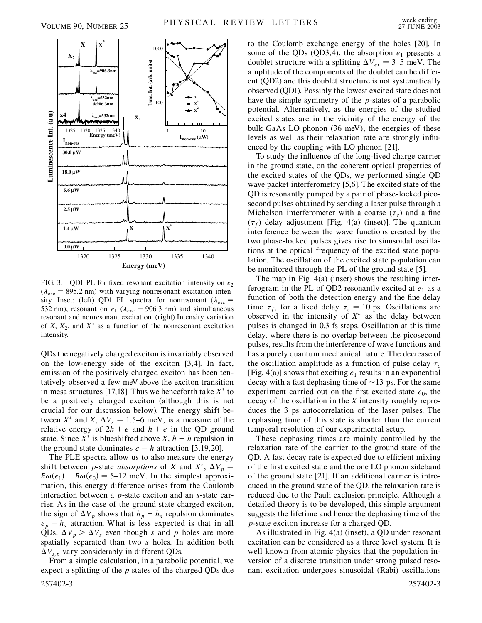



FIG. 3. QD1 PL for fixed resonant excitation intensity on  $e_2$  $(\lambda_{\text{exc}} = 895.2 \text{ nm})$  with varying nonresonant excitation intensity. Inset: (left) QD1 PL spectra for nonresonant ( $\lambda_{\text{exc}}$  = 532 nm), resonant on  $e_1$  ( $\lambda_{\text{exc}}$  = 906.3 nm) and simultaneous resonant and nonresonant excitation. (right) Intensity variation of *X*,  $X_2$ , and  $X^*$  as a function of the nonresonant excitation intensity.

QDs the negatively charged exciton is invariably observed on the low-energy side of the exciton [3,4]. In fact, emission of the positively charged exciton has been tentatively observed a few meV above the exciton transition in mesa structures [17,18]. Thus we henceforth take  $X^*$  to be a positively charged exciton (although this is not crucial for our discussion below). The energy shift between  $X^*$  and  $X$ ,  $\Delta V_s = 1.5$ –6 meV, is a measure of the relative energy of  $2h + e$  and  $h + e$  in the QD ground state. Since  $X^*$  is blueshifted above  $X$ ,  $h - h$  repulsion in the ground state dominates  $e - h$  attraction [3,19,20].

The PLE spectra allow us to also measure the energy shift between *p*-state *absorptions* of *X* and  $X^*$ ,  $\Delta V_p$  =  $\hbar \omega(e_1) - \hbar \omega(e_0) = 5{\text -}12 \text{ meV}$ . In the simplest approximation, this energy difference arises from the Coulomb interaction between a *p*-state exciton and an *s*-state carrier. As in the case of the ground state charged exciton, the sign of  $\Delta V_p$  shows that  $h_p - h_s$  repulsion dominates  $e_p - h_s$  attraction. What is less expected is that in all QDs,  $\Delta V_p > \Delta V_s$  even though *s* and *p* holes are more spatially separated than two *s* holes. In addition both  $\Delta V_{s,p}$  vary considerably in different QDs.

From a simple calculation, in a parabolic potential, we expect a splitting of the *p* states of the charged QDs due 257402-3 257402-3

to the Coulomb exchange energy of the holes [20]. In some of the QDs (QD3,4), the absorption  $e_1$  presents a doublet structure with a splitting  $\Delta V_{ex} = 3{\text -}5$  meV. The amplitude of the components of the doublet can be different (QD2) and this doublet structure is not systematically observed (QD1). Possibly the lowest excited state does not have the simple symmetry of the *p*-states of a parabolic potential. Alternatively, as the energies of the studied excited states are in the vicinity of the energy of the bulk GaAs LO phonon (36 meV), the energies of these levels as well as their relaxation rate are strongly influenced by the coupling with LO phonon [21].

To study the influence of the long-lived charge carrier in the ground state, on the coherent optical properties of the excited states of the QDs, we performed single QD wave packet interferometry [5,6]. The excited state of the QD is resonantly pumped by a pair of phase-locked picosecond pulses obtained by sending a laser pulse through a Michelson interferometer with a coarse  $(\tau_c)$  and a fine  $(\tau_f)$  delay adjustment [Fig. 4(a) (inset)]. The quantum interference between the wave functions created by the two phase-locked pulses gives rise to sinusoidal oscillations at the optical frequency of the excited state population. The oscillation of the excited state population can be monitored through the PL of the ground state [5].

The map in Fig. 4(a) (inset) shows the resulting interferogram in the PL of QD2 resonantly excited at  $e_1$  as a function of both the detection energy and the fine delay time  $\tau_f$ , for a fixed delay  $\tau_c = 10$  ps. Oscillations are observed in the intensity of  $X^*$  as the delay between pulses is changed in 0.3 fs steps. Oscillation at this time delay, where there is no overlap between the picosecond pulses, results from the interference of wave functions and has a purely quantum mechanical nature. The decrease of the oscillation amplitude as a function of pulse delay  $\tau_c$ [Fig. 4(a)] shows that exciting  $e_1$  results in an exponential decay with a fast dephasing time of  $\sim$  13 ps. For the same experiment carried out on the first excited state  $e_0$ , the decay of the oscillation in the *X* intensity roughly reproduces the 3 ps autocorrelation of the laser pulses. The dephasing time of this state is shorter than the current temporal resolution of our experimental setup.

These dephasing times are mainly controlled by the relaxation rate of the carrier to the ground state of the QD. A fast decay rate is expected due to efficient mixing of the first excited state and the one LO phonon sideband of the ground state [21]. If an additional carrier is introduced in the ground state of the QD, the relaxation rate is reduced due to the Pauli exclusion principle. Although a detailed theory is to be developed, this simple argument suggests the lifetime and hence the dephasing time of the *p*-state exciton increase for a charged QD.

As illustrated in Fig. 4(a) (inset), a QD under resonant excitation can be considered as a three level system. It is well known from atomic physics that the population inversion of a discrete transition under strong pulsed resonant excitation undergoes sinusoidal (Rabi) oscillations